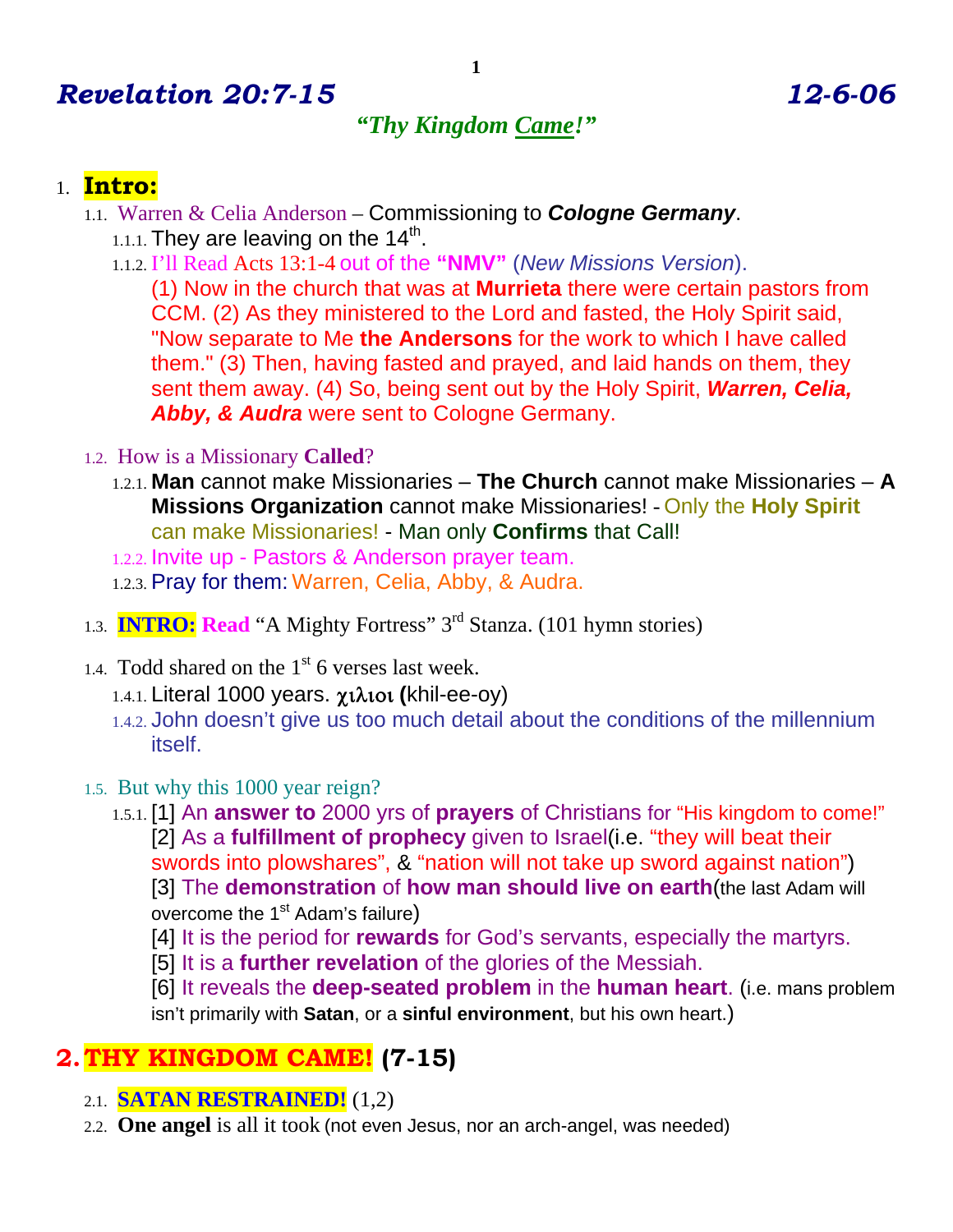# *Revelation 20:7-15 12-6-06*

### *"Thy Kingdom Came!"*

### 1. **Intro:**

- 1.1. Warren & Celia Anderson Commissioning to *Cologne Germany*. 1.1.1. They are leaving on the  $14<sup>th</sup>$ .
	- 1.1.2. I'll Read Acts 13:1-4 out of the **"NMV"** (*New Missions Version*).

(1) Now in the church that was at **Murrieta** there were certain pastors from CCM. (2) As they ministered to the Lord and fasted, the Holy Spirit said, "Now separate to Me **the Andersons** for the work to which I have called them." (3) Then, having fasted and prayed, and laid hands on them, they sent them away. (4) So, being sent out by the Holy Spirit, *Warren, Celia, Abby, & Audra* were sent to Cologne Germany.

- 1.2. How is a Missionary **Called**?
	- 1.2.1. **Man** cannot make Missionaries **The Church** cannot make Missionaries **A Missions Organization** cannot make Missionaries! - Only the **Holy Spirit** can make Missionaries! - Man only **Confirms** that Call!
	- 1.2.2. Invite up Pastors & Anderson prayer team.
	- 1.2.3. Pray for them: Warren, Celia, Abby, & Audra.
- 1.3. **INTRO: Read** "A Mighty Fortress" 3rd Stanza. (101 hymn stories)
- 1.4. Todd shared on the  $1<sup>st</sup>$  6 verses last week.
	- 1.4.1. Literal 1000 years. χιλιοι **(**khil-ee-oy)
	- 1.4.2. John doesn't give us too much detail about the conditions of the millennium itself.
- 1.5. But why this 1000 year reign?
	- 1.5.1. [1] An **answer to** 2000 yrs of **prayers** of Christians for "His kingdom to come!" [2] As a **fulfillment of prophecy** given to Israel(i.e. "they will beat their swords into plowshares", & "nation will not take up sword against nation") [3] The **demonstration** of **how man should live on earth**(the last Adam will overcome the 1<sup>st</sup> Adam's failure)
		- [4] It is the period for **rewards** for God's servants, especially the martyrs.
		- [5] It is a **further revelation** of the glories of the Messiah.

[6] It reveals the **deep-seated problem** in the **human heart**. (i.e. mans problem isn't primarily with **Satan**, or a **sinful environment**, but his own heart.)

# **2.THY KINGDOM CAME! (7-15)**

- 2.1. **SATAN RESTRAINED!** (1,2)
- 2.2. **One angel** is all it took (not even Jesus, nor an arch-angel, was needed)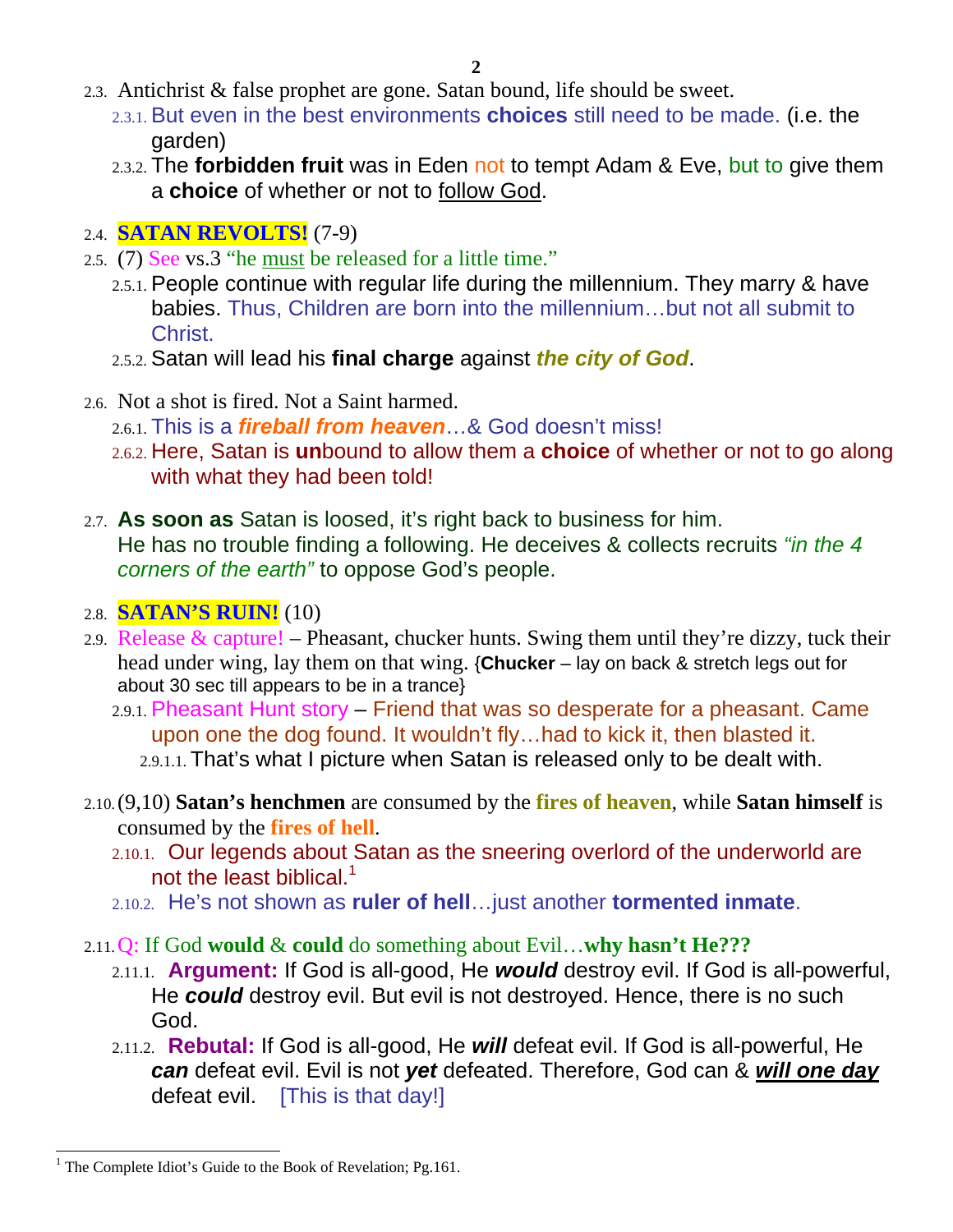- 2.3. Antichrist & false prophet are gone. Satan bound, life should be sweet.
	- 2.3.1. But even in the best environments **choices** still need to be made. (i.e. the garden)
	- 2.3.2. The **forbidden fruit** was in Eden not to tempt Adam & Eve, but to give them a **choice** of whether or not to follow God.

### 2.4. **SATAN REVOLTS!** (7-9)

- 2.5. (7) See vs.3 "he must be released for a little time."
	- 2.5.1. People continue with regular life during the millennium. They marry & have babies. Thus, Children are born into the millennium…but not all submit to Christ.
	- 2.5.2. Satan will lead his **final charge** against *the city of God*.
- 2.6. Not a shot is fired. Not a Saint harmed.
	- 2.6.1. This is a *fireball from heaven*…& God doesn't miss!
	- 2.6.2. Here, Satan is **un**bound to allow them a **choice** of whether or not to go along with what they had been told!
- 2.7. **As soon as** Satan is loosed, it's right back to business for him. He has no trouble finding a following. He deceives & collects recruits *"in the 4 corners of the earth"* to oppose God's people.

#### 2.8. **SATAN'S RUIN!** (10)

- 2.9. Release & capture! Pheasant, chucker hunts. Swing them until they're dizzy, tuck their head under wing, lay them on that wing. {**Chucker** – lay on back & stretch legs out for about 30 sec till appears to be in a trance}
	- 2.9.1. Pheasant Hunt story Friend that was so desperate for a pheasant. Came upon one the dog found. It wouldn't fly…had to kick it, then blasted it. 2.9.1.1. That's what I picture when Satan is released only to be dealt with.
- 2.10.(9,10) **Satan's henchmen** are consumed by the **fires of heaven**, while **Satan himself** is consumed by the **fires of hell**.
	- 2.10.1. Our legends about Satan as the sneering overlord of the underworld are not the least biblical.<sup>1</sup>
	- 2.10.2. He's not shown as **ruler of hell**…just another **tormented inmate**.

#### 2.11.Q: If God **would** & **could** do something about Evil…**why hasn't He???**

- 2.11.1. **Argument:** If God is all-good, He *would* destroy evil. If God is all-powerful, He *could* destroy evil. But evil is not destroyed. Hence, there is no such God.
- 2.11.2. **Rebutal:** If God is all-good, He *will* defeat evil. If God is all-powerful, He *can* defeat evil. Evil is not *yet* defeated. Therefore, God can & *will one day* defeat evil. [This is that day!]

-

<sup>&</sup>lt;sup>1</sup> The Complete Idiot's Guide to the Book of Revelation; Pg.161.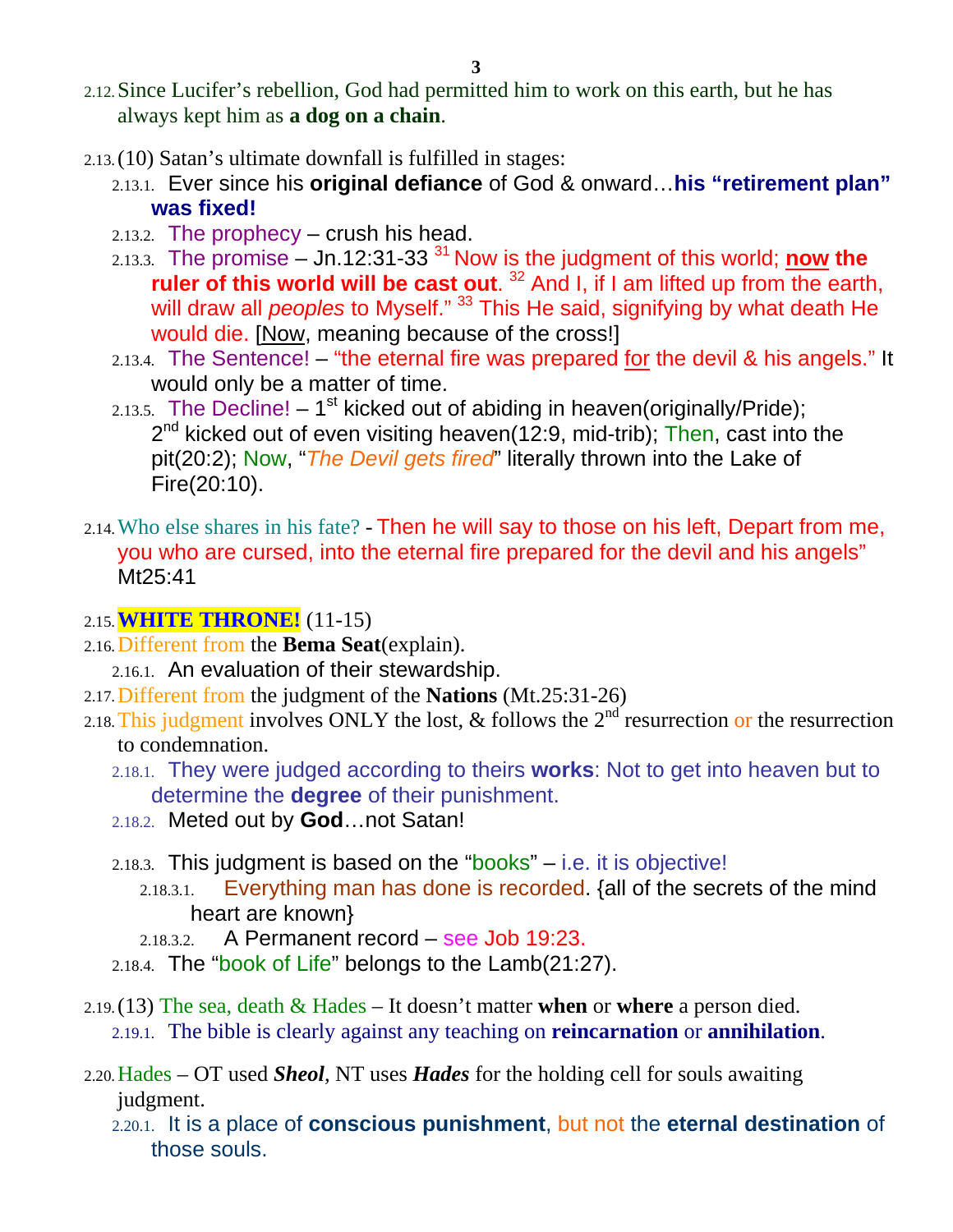- 2.12.Since Lucifer's rebellion, God had permitted him to work on this earth, but he has always kept him as **a dog on a chain**.
- 2.13.(10) Satan's ultimate downfall is fulfilled in stages:
	- 2.13.1. Ever since his **original defiance** of God & onward…**his "retirement plan" was fixed!**
	- 2.13.2. The prophecy crush his head.
	- 2.13.3. The promise  $-$  Jn.12:31-33<sup>31</sup> Now is the judgment of this world; **now the ruler of this world will be cast out**. 32 And I, if I am lifted up from the earth, will draw all *peoples* to Myself." <sup>33</sup> This He said, signifying by what death He would die. [Now, meaning because of the cross!]
	- $2.13.4.$  The Sentence! "the eternal fire was prepared for the devil & his angels." It would only be a matter of time.
	- 2.13.5. The Decline!  $-1^{st}$  kicked out of abiding in heaven(originally/Pride);  $2<sup>nd</sup>$  kicked out of even visiting heaven(12:9, mid-trib); Then, cast into the pit(20:2); Now, "*The Devil gets fired*" literally thrown into the Lake of Fire(20:10).
- 2.14.Who else shares in his fate? Then he will say to those on his left, Depart from me, you who are cursed, into the eternal fire prepared for the devil and his angels" Mt25:41
- 2.15.**WHITE THRONE!** (11-15)
- 2.16.Different from the **Bema Seat**(explain).
	- 2.16.1. An evaluation of their stewardship.
- 2.17.Different from the judgment of the **Nations** (Mt.25:31-26)
- 2.18. This judgment involves ONLY the lost,  $\&$  follows the  $2^{nd}$  resurrection or the resurrection to condemnation.
	- 2.18.1. They were judged according to theirs **works**: Not to get into heaven but to determine the **degree** of their punishment.
	- 2.18.2. Meted out by **God**…not Satan!
	- 2.18.3. This judgment is based on the "books"  $-$  i.e. it is objective!
		- 2.18.3.1. Everything man has done is recorded. {all of the secrets of the mind heart are known}
		- $2.18.3.2.$  A Permanent record see Job 19:23.
	- 2.18.4. The "book of Life" belongs to the  $Lamb(21:27)$ .
- 2.19.(13) The sea, death & Hades It doesn't matter **when** or **where** a person died. 2.19.1. The bible is clearly against any teaching on **reincarnation** or **annihilation**.
- 2.20.Hades OT used *Sheol*, NT uses *Hades* for the holding cell for souls awaiting judgment.
	- 2.20.1. It is a place of **conscious punishment**, but not the **eternal destination** of those souls.